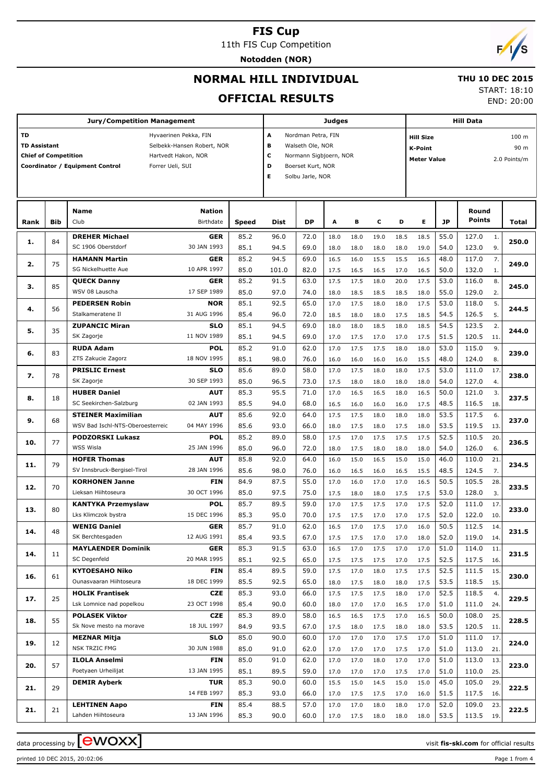# **FIS Cup**

11th FIS Cup Competition

**Notodden (NOR)**

# $\sqrt{2}$

END: 20:00

# **NORMAL HILL INDIVIDUAL**

### **THU 10 DEC 2015** START: 18:10

**OFFICIAL RESULTS**

|                             |     | <b>Jury/Competition Management</b>                  |                            |       |                        |                        | Judges |      |      |      | <b>Hill Data</b>                   |           |               |     |       |
|-----------------------------|-----|-----------------------------------------------------|----------------------------|-------|------------------------|------------------------|--------|------|------|------|------------------------------------|-----------|---------------|-----|-------|
| <b>TD</b>                   |     |                                                     | Hyvaerinen Pekka, FIN      |       | Α                      | Nordman Petra, FIN     |        |      |      |      | 100 m<br><b>Hill Size</b>          |           |               |     |       |
| <b>TD Assistant</b>         |     |                                                     | Selbekk-Hansen Robert, NOR |       | в                      | Walseth Ole, NOR       |        |      |      |      | 90 m<br><b>K-Point</b>             |           |               |     |       |
| <b>Chief of Competition</b> |     |                                                     | Hartvedt Hakon, NOR        |       | c                      | Normann Sigbjoern, NOR |        |      |      |      | <b>Meter Value</b><br>2.0 Points/m |           |               |     |       |
|                             |     | Coordinator / Equipment Control<br>Forrer Ueli, SUI |                            |       | D<br>Boerset Kurt, NOR |                        |        |      |      |      |                                    |           |               |     |       |
|                             |     |                                                     |                            |       | Е                      | Solbu Jarle, NOR       |        |      |      |      |                                    |           |               |     |       |
|                             |     |                                                     |                            |       |                        |                        |        |      |      |      |                                    |           |               |     |       |
|                             |     |                                                     |                            |       |                        |                        |        |      |      |      |                                    |           |               |     |       |
|                             |     | <b>Name</b>                                         | <b>Nation</b>              |       |                        |                        |        |      |      |      |                                    |           | Round         |     |       |
| Rank                        | Bib | Club                                                | Birthdate                  | Speed | Dist                   | DP                     | A      | В    | c    | D    | Е                                  | <b>JP</b> | <b>Points</b> |     | Total |
|                             |     | <b>DREHER Michael</b>                               | <b>GER</b>                 | 85.2  | 96.0                   | 72.0                   | 18.0   | 18.0 | 19.0 | 18.5 | 18.5                               | 55.0      | 127.0         | 1.  |       |
| 1.                          | 84  | SC 1906 Oberstdorf                                  | 30 JAN 1993                | 85.1  | 94.5                   | 69.0                   | 18.0   | 18.0 | 18.0 | 18.0 | 19.0                               | 54.0      | 123.0         | 9.  | 250.0 |
|                             |     | <b>HAMANN Martin</b>                                | <b>GER</b>                 | 85.2  | 94.5                   | 69.0                   | 16.5   | 16.0 | 15.5 | 15.5 | 16.5                               | 48.0      | 117.0         | 7.  |       |
| 2.                          | 75  | SG Nickelhuette Aue                                 | 10 APR 1997                | 85.0  | 101.0                  | 82.0                   | 17.5   | 16.5 | 16.5 | 17.0 | 16.5                               | 50.0      | 132.0         | 1.  | 249.0 |
|                             |     | <b>QUECK Danny</b>                                  | GER                        | 85.2  | 91.5                   | 63.0                   | 17.5   | 17.5 | 18.0 | 20.0 | 17.5                               | 53.0      | 116.0         | 8.  |       |
| з.                          | 85  | WSV 08 Lauscha                                      | 17 SEP 1989                | 85.0  | 97.0                   | 74.0                   | 18.0   | 18.5 | 18.5 | 18.5 | 18.0                               | 55.0      | 129.0         | 2.  | 245.0 |
|                             |     | <b>PEDERSEN Robin</b>                               | <b>NOR</b>                 | 85.1  | 92.5                   | 65.0                   | 17.0   | 17.5 | 18.0 | 18.0 | 17.5                               | 53.0      | 118.0         | 5.  |       |
| 4.                          | 56  | Stalkameratene Il                                   | 31 AUG 1996                | 85.4  | 96.0                   | 72.0                   | 18.5   | 18.0 | 18.0 | 17.5 | 18.5                               | 54.5      | 126.5         | 5.  | 244.5 |
|                             |     | <b>ZUPANCIC Miran</b>                               | <b>SLO</b>                 | 85.1  | 94.5                   | 69.0                   | 18.0   | 18.0 | 18.5 | 18.0 | 18.5                               | 54.5      | 123.5         | 2.  |       |
| 5.                          | 35  | SK Zagorje                                          | 11 NOV 1989                | 85.1  | 94.5                   | 69.0                   | 17.0   | 17.5 | 17.0 | 17.0 | 17.5                               | 51.5      | 120.5         | 11. | 244.0 |
|                             |     | <b>RUDA Adam</b>                                    | <b>POL</b>                 | 85.2  | 91.0                   | 62.0                   | 17.0   | 17.5 | 17.5 | 18.0 | 18.0                               | 53.0      | 115.0         | 9.  |       |
| 6.                          | 83  | ZTS Zakucie Zagorz                                  | 18 NOV 1995                | 85.1  | 98.0                   | 76.0                   | 16.0   | 16.0 | 16.0 | 16.0 | 15.5                               | 48.0      | 124.0         | 8.  | 239.0 |
|                             |     | <b>PRISLIC Ernest</b>                               | <b>SLO</b>                 | 85.6  | 89.0                   | 58.0                   | 17.0   | 17.5 | 18.0 | 18.0 | 17.5                               | 53.0      | 111.0         | 17. |       |
| 7.                          | 78  | SK Zagorje                                          | 30 SEP 1993                | 85.0  | 96.5                   | 73.0                   | 17.5   | 18.0 | 18.0 | 18.0 | 18.0                               | 54.0      | 127.0         | 4.  | 238.0 |
|                             |     | <b>HUBER Daniel</b>                                 | <b>AUT</b>                 | 85.3  | 95.5                   | 71.0                   | 17.0   | 16.5 | 16.5 | 18.0 | 16.5                               | 50.0      | 121.0         | 3.  |       |
| 8.                          | 18  | SC Seekirchen-Salzburg                              | 02 JAN 1993                | 85.5  | 94.0                   | 68.0                   | 16.5   | 16.0 | 16.0 | 16.0 | 17.5                               | 48.5      | 116.5         | 18. | 237.5 |
|                             |     | <b>STEINER Maximilian</b>                           | AUT                        | 85.6  | 92.0                   | 64.0                   | 17.5   | 17.5 | 18.0 | 18.0 | 18.0                               | 53.5      | 117.5         | 6.  |       |
| 9.                          | 68  | WSV Bad Ischl-NTS-Oberoesterreic                    | 04 MAY 1996                | 85.6  | 93.0                   | 66.0                   | 18.0   | 17.5 | 18.0 | 17.5 | 18.0                               | 53.5      | 119.5         | 13. | 237.0 |
|                             |     | <b>PODZORSKI Lukasz</b>                             | <b>POL</b>                 | 85.2  | 89.0                   | 58.0                   | 17.5   | 17.0 | 17.5 | 17.5 | 17.5                               | 52.5      | 110.5         | 20. |       |
| 10.                         | 77  | WSS Wisla                                           | 25 JAN 1996                | 85.0  | 96.0                   | 72.0                   | 18.0   | 17.5 | 18.0 | 18.0 | 18.0                               | 54.0      | 126.0         | 6.  | 236.5 |
|                             |     | <b>HOFER Thomas</b>                                 | <b>AUT</b>                 | 85.8  | 92.0                   | 64.0                   | 16.0   | 15.0 | 16.5 | 15.0 | 15.0                               | 46.0      | 110.0         | 21  |       |
| 11.                         | 79  | SV Innsbruck-Bergisel-Tirol                         | 28 JAN 1996                | 85.6  | 98.0                   | 76.0                   | 16.0   | 16.5 | 16.0 | 16.5 | 15.5                               | 48.5      | 124.5         | 7.  | 234.5 |
|                             |     | <b>KORHONEN Janne</b>                               | <b>FIN</b>                 | 84.9  | 87.5                   | 55.0                   | 17.0   | 16.0 | 17.0 | 17.0 | 16.5                               | 50.5      | 105.5         | 28. |       |
| 12.                         | 70  | Lieksan Hiihtoseura                                 | 30 OCT 1996                | 85.0  | 97.5                   | 75.0                   | 17.5   | 18.0 | 18.0 | 17.5 | 17.5                               | 53.0      | 128.0         | 3.  | 233.5 |
|                             |     | <b>KANTYKA Przemyslaw</b>                           | <b>POL</b>                 | 85.7  | 89.5                   | 59.0                   | 17.0   | 17.5 | 17.5 | 17.0 | 17.5                               | 52.0      | 111.0         | 17. |       |
| 13.                         | 80  | Lks Klimczok bystra                                 | 15 DEC 1996                | 85.3  | 95.0                   | 70.0                   | 17.5   | 17.5 | 17.0 | 17.0 | 17.5                               | 52.0      | 122.0         | 10. | 233.0 |
|                             |     | <b>WENIG Daniel</b>                                 | <b>GER</b>                 | 85.7  | 91.0                   | 62.0                   | 16.5   | 17.0 | 17.5 | 17.0 | 16.0                               | 50.5      | 112.5         | 14. |       |
| 14.                         | 48  | SK Berchtesgaden                                    | 12 AUG 1991                | 85.4  | 93.5                   | 67.0                   | 17.5   | 17.5 | 17.0 | 17.0 | 18.0                               | 52.0      | 119.0<br>14.  |     | 231.5 |
|                             |     | <b>MAYLAENDER Dominik</b>                           | GER                        | 85.3  | 91.5                   | 63.0                   | 16.5   | 17.0 | 17.5 | 17.0 | 17.0                               | 51.0      | 114.0         | 11. |       |
| 14.                         | 11  | SC Degenfeld                                        | 20 MAR 1995                | 85.1  | 92.5                   | 65.0                   | 17.5   | 17.5 | 17.5 | 17.0 | 17.5                               | 52.5      | 117.5<br>16.  |     | 231.5 |
|                             |     | <b>KYTOESAHO Niko</b>                               | <b>FIN</b>                 | 85.4  | 89.5                   | 59.0                   | 17.5   | 17.0 | 18.0 | 17.5 | 17.5                               | 52.5      | 111.5         | 15. |       |
| 16.                         | 61  | Ounasvaaran Hiihtoseura                             | 18 DEC 1999                | 85.5  | 92.5                   | 65.0                   | 18.0   | 17.5 | 18.0 | 18.0 | 17.5                               | 53.5      | 118.5<br>15.  |     | 230.0 |
|                             |     | <b>HOLIK Frantisek</b>                              | <b>CZE</b>                 | 85.3  | 93.0                   | 66.0                   | 17.5   | 17.5 | 17.5 | 18.0 | 17.0                               | 52.5      | 118.5         | 4.  |       |
| 17.                         | 25  | Lsk Lomnice nad popelkou                            | 23 OCT 1998                | 85.4  | 90.0                   | 60.0                   | 18.0   | 17.0 | 17.0 | 16.5 | 17.0                               | 51.0      | 111.0         | 24. | 229.5 |
|                             |     | <b>POLASEK Viktor</b>                               | <b>CZE</b>                 | 85.3  | 89.0                   | 58.0                   | 16.5   | 16.5 | 17.5 | 17.0 | 16.5                               | 50.0      | 108.0         | 25. |       |
| 18.                         | 55  | Sk Nove mesto na morave                             | 18 JUL 1997                | 84.9  | 93.5                   | 67.0                   | 17.5   | 18.0 | 17.5 | 18.0 | 18.0                               | 53.5      | 120.5<br>11.  |     | 228.5 |
|                             |     | <b>MEZNAR Mitja</b>                                 | <b>SLO</b>                 | 85.0  | 90.0                   | 60.0                   | 17.0   | 17.0 | 17.0 | 17.5 | 17.0                               | 51.0      | 111.0         | 17. |       |
| 19.                         | 12  | NSK TRZIC FMG                                       | 30 JUN 1988                | 85.0  | 91.0                   | 62.0                   | 17.0   | 17.0 | 17.0 | 17.5 | 17.0                               | 51.0      | 113.0         | 21. | 224.0 |
|                             |     | <b>ILOLA Anselmi</b>                                | FIN                        | 85.0  | 91.0                   | 62.0                   | 17.0   | 17.0 | 18.0 | 17.0 | 17.0                               | 51.0      | 113.0         | 13. |       |
| 20.                         | 57  | Poetyaen Urheilijat                                 | 13 JAN 1995                | 85.1  | 89.5                   | 59.0                   | 17.0   | 17.0 | 17.0 | 17.5 | 17.0                               | 51.0      | 110.0         | 25. | 223.0 |
|                             |     | <b>DEMIR Ayberk</b>                                 | <b>TUR</b>                 | 85.3  | 90.0                   | 60.0                   | 15.5   | 15.0 | 14.5 | 15.0 | 15.0                               | 45.0      | 105.0         | 29. |       |
| 21.                         | 29  |                                                     | 14 FEB 1997                | 85.3  | 93.0                   | 66.0                   | 17.0   | 17.5 | 17.5 | 17.0 | 16.0                               | 51.5      | 117.5<br>16.  |     | 222.5 |
|                             |     | <b>LEHTINEN Aapo</b>                                | <b>FIN</b>                 | 85.4  | 88.5                   | 57.0                   | 17.0   | 17.0 | 18.0 | 18.0 | 17.0                               | 52.0      | 109.0         | 23. |       |
| 21.                         | 21  | Lahden Hiihtoseura                                  | 13 JAN 1996                | 85.3  | 90.0                   | 60.0                   | 17.0   | 17.5 | 18.0 | 18.0 | 18.0                               | 53.5      | 113.5<br>19.  |     | 222.5 |

printed 10 DEC 2015, 20:02:06 Page 1 from 4

data processing by **CWOXX** and  $\overline{C}$  and  $\overline{C}$  and  $\overline{C}$  and  $\overline{C}$  and  $\overline{C}$  and  $\overline{C}$  and  $\overline{C}$  and  $\overline{C}$  and  $\overline{C}$  and  $\overline{C}$  and  $\overline{C}$  and  $\overline{C}$  and  $\overline{C}$  and  $\overline{C}$  and  $\overline{C}$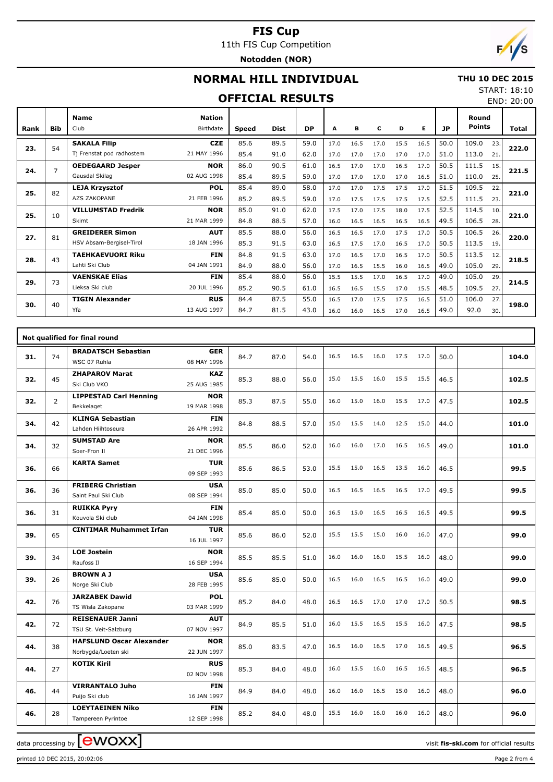### **FIS Cup** 11th FIS Cup Competition

**Notodden (NOR)**



# **NORMAL HILL INDIVIDUAL**

#### **THU 10 DEC 2015** START: 18:10

### **OFFICIAL RESULTS**

|  | .          |
|--|------------|
|  | END: 20:00 |

| Rank | <b>Bib</b>     | <b>Name</b><br>Club       | <b>Nation</b><br><b>Birthdate</b> | <b>Speed</b> | <b>Dist</b> | <b>DP</b> | A    | в    | c    | D    | Е    | <b>JP</b> | Round<br><b>Points</b> |     | Total |
|------|----------------|---------------------------|-----------------------------------|--------------|-------------|-----------|------|------|------|------|------|-----------|------------------------|-----|-------|
|      | 54             | <b>SAKALA Filip</b>       | <b>CZE</b>                        | 85.6         | 89.5        | 59.0      | 17.0 | 16.5 | 17.0 | 15.5 | 16.5 | 50.0      | 109.0                  | 23. |       |
| 23.  |                | Tj Frenstat pod radhostem | 21 MAY 1996                       | 85.4         | 91.0        | 62.0      | 17.0 | 17.0 | 17.0 | 17.0 | 17.0 | 51.0      | 113.0                  | 21  | 222.0 |
| 24.  | $\overline{7}$ | <b>OEDEGAARD Jesper</b>   | <b>NOR</b>                        | 86.0         | 90.5        | 61.0      | 16.5 | 17.0 | 17.0 | 16.5 | 17.0 | 50.5      | 111.5                  | 15. | 221.5 |
|      |                | Gausdal Skilag            | 02 AUG 1998                       | 85.4         | 89.5        | 59.0      | 17.0 | 17.0 | 17.0 | 17.0 | 16.5 | 51.0      | 110.0                  | 25. |       |
| 25.  | 82             | <b>LEJA Krzysztof</b>     | <b>POL</b>                        | 85.4         | 89.0        | 58.0      | 17.0 | 17.0 | 17.5 | 17.5 | 17.0 | 51.5      | 109.5                  | 22. | 221.0 |
|      |                | <b>AZS ZAKOPANE</b>       | 21 FEB 1996                       | 85.2         | 89.5        | 59.0      | 17.0 | 17.5 | 17.5 | 17.5 | 17.5 | 52.5      | 111.5                  | 23. |       |
| 25.  | 10             | <b>VILLUMSTAD Fredrik</b> | <b>NOR</b>                        | 85.0         | 91.0        | 62.0      | 17.5 | 17.0 | 17.5 | 18.0 | 17.5 | 52.5      | 114.5                  | 10. | 221.0 |
|      |                | Skimt                     | 21 MAR 1999                       | 84.8         | 88.5        | 57.0      | 16.0 | 16.5 | 16.5 | 16.5 | 16.5 | 49.5      | 106.5                  | 28. |       |
| 27.  | 81             | <b>GREIDERER Simon</b>    | <b>AUT</b>                        | 85.5         | 88.0        | 56.0      | 16.5 | 16.5 | 17.0 | 17.5 | 17.0 | 50.5      | 106.5                  | 26. | 220.0 |
|      |                | HSV Absam-Bergisel-Tirol  | 18 JAN 1996                       | 85.3         | 91.5        | 63.0      | 16.5 | 17.5 | 17.0 | 16.5 | 17.0 | 50.5      | 113.5                  | 19. |       |
| 28.  | 43             | <b>TAEHKAEVUORI Riku</b>  | <b>FIN</b>                        | 84.8         | 91.5        | 63.0      | 17.0 | 16.5 | 17.0 | 16.5 | 17.0 | 50.5      | 113.5                  | 12. | 218.5 |
|      |                | Lahti Ski Club            | 04 JAN 1991                       | 84.9         | 88.0        | 56.0      | 17.0 | 16.5 | 15.5 | 16.0 | 16.5 | 49.0      | 105.0                  | 29. |       |
| 29.  | 73             | <b>VAENSKAE Elias</b>     | <b>FIN</b>                        | 85.4         | 88.0        | 56.0      | 15.5 | 15.5 | 17.0 | 16.5 | 17.0 | 49.0      | 105.0                  | 29. | 214.5 |
|      |                | Lieksa Ski club           | 20 JUL 1996                       | 85.2         | 90.5        | 61.0      | 16.5 | 16.5 | 15.5 | 17.0 | 15.5 | 48.5      | 109.5                  | 27. |       |
| 30.  | 40             | <b>TIGIN Alexander</b>    | <b>RUS</b>                        | 84.4         | 87.5        | 55.0      | 16.5 | 17.0 | 17.5 | 17.5 | 16.5 | 51.0      | 106.0                  | 27. | 198.0 |
|      |                | Yfa                       | 13 AUG 1997                       | 84.7         | 81.5        | 43.0      | 16.0 | 16.0 | 16.5 | 17.0 | 16.5 | 49.0      | 92.0                   | 30. |       |

|     |                | Not qualified for final round                          |                           |      |      |      |      |      |      |      |      |      |       |
|-----|----------------|--------------------------------------------------------|---------------------------|------|------|------|------|------|------|------|------|------|-------|
| 31. | 74             | <b>BRADATSCH Sebastian</b><br>WSC 07 Ruhla             | <b>GER</b><br>08 MAY 1996 | 84.7 | 87.0 | 54.0 | 16.5 | 16.5 | 16.0 | 17.5 | 17.0 | 50.0 | 104.0 |
| 32. | 45             | <b>ZHAPAROV Marat</b><br>Ski Club VKO                  | <b>KAZ</b><br>25 AUG 1985 | 85.3 | 88.0 | 56.0 | 15.0 | 15.5 | 16.0 | 15.5 | 15.5 | 46.5 | 102.5 |
| 32. | $\overline{2}$ | <b>LIPPESTAD Carl Henning</b><br>Bekkelaget            | <b>NOR</b><br>19 MAR 1998 | 85.3 | 87.5 | 55.0 | 16.0 | 15.0 | 16.0 | 15.5 | 17.0 | 47.5 | 102.5 |
| 34. | 42             | <b>KLINGA Sebastian</b><br>Lahden Hiihtoseura          | <b>FIN</b><br>26 APR 1992 | 84.8 | 88.5 | 57.0 | 15.0 | 15.5 | 14.0 | 12.5 | 15.0 | 44.0 | 101.0 |
| 34. | 32             | <b>SUMSTAD Are</b><br>Soer-Fron II                     | <b>NOR</b><br>21 DEC 1996 | 85.5 | 86.0 | 52.0 | 16.0 | 16.0 | 17.0 | 16.5 | 16.5 | 49.0 | 101.0 |
| 36. | 66             | <b>KARTA Samet</b>                                     | <b>TUR</b><br>09 SEP 1993 | 85.6 | 86.5 | 53.0 | 15.5 | 15.0 | 16.5 | 13.5 | 16.0 | 46.5 | 99.5  |
| 36. | 36             | <b>FRIBERG Christian</b><br>Saint Paul Ski Club        | <b>USA</b><br>08 SEP 1994 | 85.0 | 85.0 | 50.0 | 16.5 | 16.5 | 16.5 | 16.5 | 17.0 | 49.5 | 99.5  |
| 36. | 31             | <b>RUIKKA Pyry</b><br>Kouvola Ski club                 | <b>FIN</b><br>04 JAN 1998 | 85.4 | 85.0 | 50.0 | 16.5 | 15.0 | 16.5 | 16.5 | 16.5 | 49.5 | 99.5  |
| 39. | 65             | <b>CINTIMAR Muhammet Irfan</b>                         | <b>TUR</b><br>16 JUL 1997 | 85.6 | 86.0 | 52.0 | 15.5 | 15.5 | 15.0 | 16.0 | 16.0 | 47.0 | 99.0  |
| 39. | 34             | <b>LOE Jostein</b><br>Raufoss II                       | <b>NOR</b><br>16 SEP 1994 | 85.5 | 85.5 | 51.0 | 16.0 | 16.0 | 16.0 | 15.5 | 16.0 | 48.0 | 99.0  |
| 39. | 26             | <b>BROWN A J</b><br>Norge Ski Club                     | <b>USA</b><br>28 FEB 1995 | 85.6 | 85.0 | 50.0 | 16.5 | 16.0 | 16.5 | 16.5 | 16.0 | 49.0 | 99.0  |
| 42. | 76             | <b>JARZABEK Dawid</b><br>TS Wisla Zakopane             | <b>POL</b><br>03 MAR 1999 | 85.2 | 84.0 | 48.0 | 16.5 | 16.5 | 17.0 | 17.0 | 17.0 | 50.5 | 98.5  |
| 42. | 72             | <b>REISENAUER Janni</b><br>TSU St. Veit-Salzburg       | <b>AUT</b><br>07 NOV 1997 | 84.9 | 85.5 | 51.0 | 16.0 | 15.5 | 16.5 | 15.5 | 16.0 | 47.5 | 98.5  |
| 44. | 38             | <b>HAFSLUND Oscar Alexander</b><br>Norbygda/Loeten ski | <b>NOR</b><br>22 JUN 1997 | 85.0 | 83.5 | 47.0 | 16.5 | 16.0 | 16.5 | 17.0 | 16.5 | 49.5 | 96.5  |
| 44. | 27             | <b>KOTIK Kiril</b>                                     | <b>RUS</b><br>02 NOV 1998 | 85.3 | 84.0 | 48.0 | 16.0 | 15.5 | 16.0 | 16.5 | 16.5 | 48.5 | 96.5  |
| 46. | 44             | <b>VIRRANTALO Juho</b><br>Puijo Ski club               | <b>FIN</b><br>16 JAN 1997 | 84.9 | 84.0 | 48.0 | 16.0 | 16.0 | 16.5 | 15.0 | 16.0 | 48.0 | 96.0  |
| 46. | 28             | <b>LOEYTAEINEN Niko</b><br>Tampereen Pyrintoe          | <b>FIN</b><br>12 SEP 1998 | 85.2 | 84.0 | 48.0 | 15.5 | 16.0 | 16.0 | 16.0 | 16.0 | 48.0 | 96.0  |

data processing by **CWOXX**  $\blacksquare$ 

printed 10 DEC 2015, 20:02:06 Page 2 from 4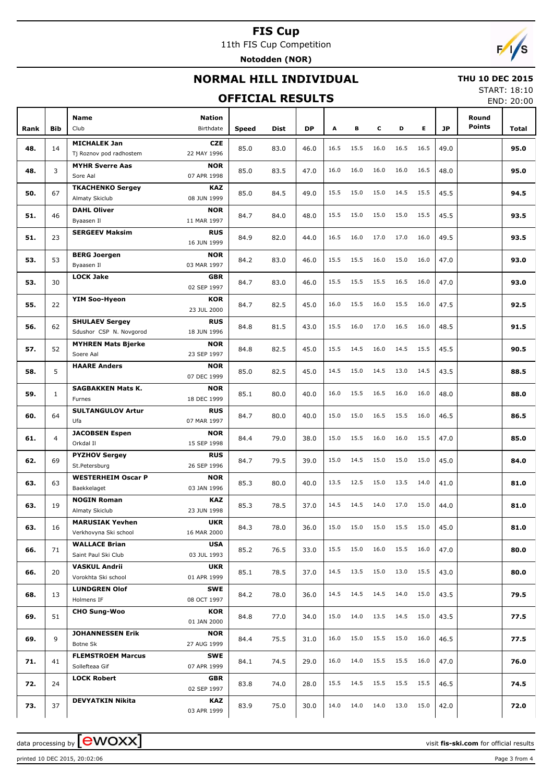# **FIS Cup**

11th FIS Cup Competition **Notodden (NOR)**



# **NORMAL HILL INDIVIDUAL**

# **OFFICIAL RESULTS**

 **THU 10 DEC 2015** START: 18:10

END: 20:00

|      |                |                                                                               |       |      |      |      |      |      |      |      |           |                        | LIVU. ZU.UU |
|------|----------------|-------------------------------------------------------------------------------|-------|------|------|------|------|------|------|------|-----------|------------------------|-------------|
| Rank | <b>Bib</b>     | Name<br>Nation<br>Club<br>Birthdate                                           | Speed | Dist | DP   | А    | в    | c    | D    | Е    | <b>JP</b> | Round<br><b>Points</b> | Total       |
| 48.  | 14             | <b>MICHALEK Jan</b><br><b>CZE</b><br>22 MAY 1996<br>Tj Roznov pod radhostem   | 85.0  | 83.0 | 46.0 | 16.5 | 15.5 | 16.0 | 16.5 | 16.5 | 49.0      |                        | 95.0        |
| 48.  | 3              | <b>MYHR Sverre Aas</b><br><b>NOR</b><br>Sore Aal<br>07 APR 1998               | 85.0  | 83.5 | 47.0 | 16.0 | 16.0 | 16.0 | 16.0 | 16.5 | 48.0      |                        | 95.0        |
| 50.  | 67             | <b>TKACHENKO Sergey</b><br><b>KAZ</b><br>Almaty Skiclub<br>08 JUN 1999        | 85.0  | 84.5 | 49.0 | 15.5 | 15.0 | 15.0 | 14.5 | 15.5 | 45.5      |                        | 94.5        |
| 51.  | 46             | <b>DAHL Oliver</b><br><b>NOR</b><br>Byaasen Il<br>11 MAR 1997                 | 84.7  | 84.0 | 48.0 | 15.5 | 15.0 | 15.0 | 15.0 | 15.5 | 45.5      |                        | 93.5        |
| 51.  | 23             | <b>SERGEEV Maksim</b><br><b>RUS</b><br>16 JUN 1999                            | 84.9  | 82.0 | 44.0 | 16.5 | 16.0 | 17.0 | 17.0 | 16.0 | 49.5      |                        | 93.5        |
| 53.  | 53             | <b>BERG Joergen</b><br><b>NOR</b><br>03 MAR 1997<br>Byaasen Il                | 84.2  | 83.0 | 46.0 | 15.5 | 15.5 | 16.0 | 15.0 | 16.0 | 47.0      |                        | 93.0        |
| 53.  | 30             | <b>LOCK Jake</b><br><b>GBR</b><br>02 SEP 1997                                 | 84.7  | 83.0 | 46.0 | 15.5 | 15.5 | 15.5 | 16.5 | 16.0 | 47.0      |                        | 93.0        |
| 55.  | 22             | YIM Soo-Hyeon<br><b>KOR</b><br>23 JUL 2000                                    | 84.7  | 82.5 | 45.0 | 16.0 | 15.5 | 16.0 | 15.5 | 16.0 | 47.5      |                        | 92.5        |
| 56.  | 62             | <b>SHULAEV Sergey</b><br><b>RUS</b><br>Sdushor CSP N. Novgorod<br>18 JUN 1996 | 84.8  | 81.5 | 43.0 | 15.5 | 16.0 | 17.0 | 16.5 | 16.0 | 48.5      |                        | 91.5        |
| 57.  | 52             | <b>MYHREN Mats Bjerke</b><br><b>NOR</b><br>Soere Aal<br>23 SEP 1997           | 84.8  | 82.5 | 45.0 | 15.5 | 14.5 | 16.0 | 14.5 | 15.5 | 45.5      |                        | 90.5        |
| 58.  | 5              | <b>HAARE Anders</b><br><b>NOR</b><br>07 DEC 1999                              | 85.0  | 82.5 | 45.0 | 14.5 | 15.0 | 14.5 | 13.0 | 14.5 | 43.5      |                        | 88.5        |
| 59.  | $\mathbf{1}$   | <b>SAGBAKKEN Mats K.</b><br><b>NOR</b><br>18 DEC 1999<br>Furnes               | 85.1  | 80.0 | 40.0 | 16.0 | 15.5 | 16.5 | 16.0 | 16.0 | 48.0      |                        | 88.0        |
| 60.  | 64             | <b>SULTANGULOV Artur</b><br><b>RUS</b><br>07 MAR 1997<br>Ufa                  | 84.7  | 80.0 | 40.0 | 15.0 | 15.0 | 16.5 | 15.5 | 16.0 | 46.5      |                        | 86.5        |
| 61.  | $\overline{4}$ | <b>JACOBSEN Espen</b><br><b>NOR</b><br>Orkdal II<br>15 SEP 1998               | 84.4  | 79.0 | 38.0 | 15.0 | 15.5 | 16.0 | 16.0 | 15.5 | 47.0      |                        | 85.0        |
| 62.  | 69             | <b>PYZHOV Sergey</b><br><b>RUS</b><br>26 SEP 1996<br>St.Petersburg            | 84.7  | 79.5 | 39.0 | 15.0 | 14.5 | 15.0 | 15.0 | 15.0 | 45.0      |                        | 84.0        |
| 63.  | 63             | <b>WESTERHEIM Oscar P</b><br><b>NOR</b><br>Baekkelaget<br>03 JAN 1996         | 85.3  | 80.0 | 40.0 | 13.5 | 12.5 | 15.0 | 13.5 | 14.0 | 41.0      |                        | 81.0        |
| 63.  | 19             | <b>NOGIN Roman</b><br><b>KAZ</b><br>Almaty Skiclub<br>23 JUN 1998             | 85.3  | 78.5 | 37.0 | 14.5 | 14.5 | 14.0 | 17.0 | 15.0 | 44.0      |                        | 81.0        |
| 63.  | 16             | <b>MARUSIAK Yevhen</b><br><b>UKR</b><br>Verkhovyna Ski school<br>16 MAR 2000  | 84.3  | 78.0 | 36.0 | 15.0 | 15.0 | 15.0 | 15.5 | 15.0 | 45.0      |                        | 81.0        |
| 66.  | 71             | <b>WALLACE Brian</b><br><b>USA</b><br>Saint Paul Ski Club<br>03 JUL 1993      | 85.2  | 76.5 | 33.0 | 15.5 | 15.0 | 16.0 | 15.5 | 16.0 | 47.0      |                        | 80.0        |
| 66.  | 20             | <b>VASKUL Andrii</b><br><b>UKR</b><br>Vorokhta Ski school<br>01 APR 1999      | 85.1  | 78.5 | 37.0 | 14.5 | 13.5 | 15.0 | 13.0 | 15.5 | 43.0      |                        | 80.0        |
| 68.  | 13             | <b>LUNDGREN Olof</b><br>SWE<br>Holmens IF<br>08 OCT 1997                      | 84.2  | 78.0 | 36.0 | 14.5 | 14.5 | 14.5 | 14.0 | 15.0 | 43.5      |                        | 79.5        |
| 69.  | 51             | <b>CHO Sung-Woo</b><br>KOR<br>01 JAN 2000                                     | 84.8  | 77.0 | 34.0 | 15.0 | 14.0 | 13.5 | 14.5 | 15.0 | 43.5      |                        | 77.5        |
| 69.  | 9              | <b>JOHANNESSEN Erik</b><br><b>NOR</b><br>Botne Sk<br>27 AUG 1999              | 84.4  | 75.5 | 31.0 | 16.0 | 15.0 | 15.5 | 15.0 | 16.0 | 46.5      |                        | 77.5        |
| 71.  | 41             | <b>FLEMSTROEM Marcus</b><br>SWE<br>07 APR 1999<br>Sollefteaa Gif              | 84.1  | 74.5 | 29.0 | 16.0 | 14.0 | 15.5 | 15.5 | 16.0 | 47.0      |                        | 76.0        |
| 72.  | 24             | <b>LOCK Robert</b><br><b>GBR</b><br>02 SEP 1997                               | 83.8  | 74.0 | 28.0 | 15.5 | 14.5 | 15.5 | 15.5 | 15.5 | 46.5      |                        | 74.5        |
| 73.  | 37             | <b>DEVYATKIN Nikita</b><br>KAZ<br>03 APR 1999                                 | 83.9  | 75.0 | 30.0 | 14.0 | 14.0 | 14.0 | 13.0 | 15.0 | 42.0      |                        | 72.0        |

data processing by **CWOXX** and  $\overline{C}$  and  $\overline{C}$  and  $\overline{C}$  and  $\overline{C}$  and  $\overline{C}$  and  $\overline{C}$  and  $\overline{C}$  and  $\overline{C}$  and  $\overline{C}$  and  $\overline{C}$  and  $\overline{C}$  and  $\overline{C}$  and  $\overline{C}$  and  $\overline{C}$  and  $\overline{C}$ 

printed 10 DEC 2015, 20:02:06 Page 3 from 4